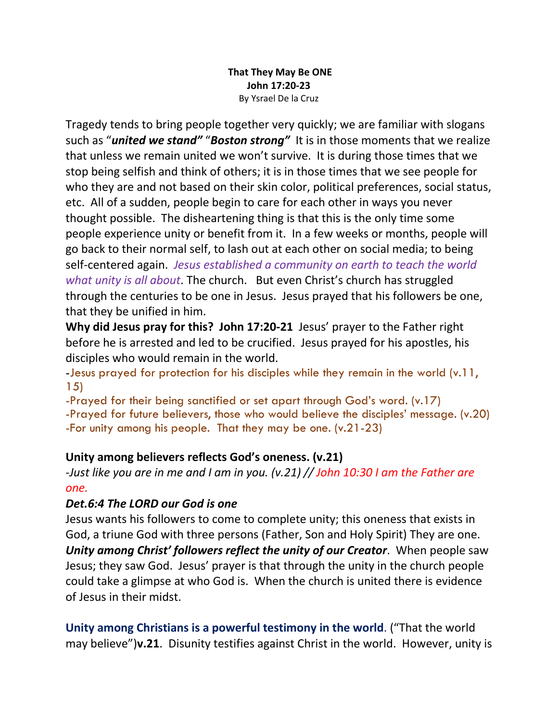### **That They May Be ONE John 17:20-23** By Ysrael De la Cruz

Tragedy tends to bring people together very quickly; we are familiar with slogans such as "*united we stand"* "*Boston strong"* It is in those moments that we realize that unless we remain united we won't survive. It is during those times that we stop being selfish and think of others; it is in those times that we see people for who they are and not based on their skin color, political preferences, social status, etc. All of a sudden, people begin to care for each other in ways you never thought possible. The disheartening thing is that this is the only time some people experience unity or benefit from it. In a few weeks or months, people will go back to their normal self, to lash out at each other on social media; to being self-centered again. *Jesus established a community on earth to teach the world what unity is all about*. The church. But even Christ's church has struggled through the centuries to be one in Jesus. Jesus prayed that his followers be one, that they be unified in him.

**Why did Jesus pray for this? John 17:20-21** Jesus' prayer to the Father right before he is arrested and led to be crucified. Jesus prayed for his apostles, his disciples who would remain in the world.

-Jesus prayed for protection for his disciples while they remain in the world (v.11, 15)

-Prayed for their being sanctified or set apart through God's word. (v.17)

-Prayed for future believers, those who would believe the disciples' message. (v.20) -For unity among his people. That they may be one. (v.21-23)

# **Unity among believers reflects God's oneness. (v.21)**

*-Just like you are in me and I am in you. (v.21) // John 10:30 I am the Father are one.*

# *Det.6:4 The LORD our God is one*

Jesus wants his followers to come to complete unity; this oneness that exists in God, a triune God with three persons (Father, Son and Holy Spirit) They are one. *Unity among Christ' followers reflect the unity of our Creator*. When people saw Jesus; they saw God. Jesus' prayer is that through the unity in the church people could take a glimpse at who God is. When the church is united there is evidence of Jesus in their midst.

**Unity among Christians is a powerful testimony in the world**. ("That the world may believe")**v.21**. Disunity testifies against Christ in the world. However, unity is